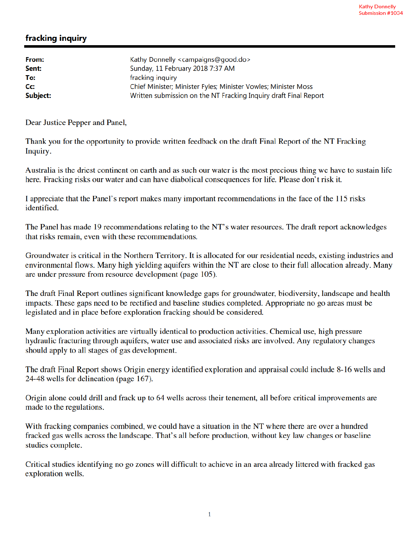## fracking inquiry

| From:    | Kathy Donnelly <campaigns@good.do></campaigns@good.do>           |
|----------|------------------------------------------------------------------|
| Sent:    | Sunday, 11 February 2018 7:37 AM                                 |
| To:      | fracking inquiry                                                 |
| Cc:      | Chief Minister; Minister Fyles; Minister Vowles; Minister Moss   |
| Subject: | Written submission on the NT Fracking Inquiry draft Final Report |

Dear Justice Pepper and Panel,

Thank you for the opportunity to provide written feedback on the draft Final Report of the NT Fracking Inquiry.

Australia is the driest continent on earth and as such our water is the most precious thing we have to sustain life here. Fracking risks our water and can have diabolical consequences for life. Please don't risk it.

I appreciate that the Panel's report makes many important recommendations in the face of the 115 risks identified.

The Panel has made 19 recommendations relating to the NT's water resources. The draft report acknowledges that risks remain, even with these recommendations.

Groundwater is critical in the Northern Territory. It is allocated for our residential needs, existing industries and environmental flows. Many high yielding aquifers within the NT are close to their full allocation already. Many are under pressure from resource development (page 105).

The draft Final Report outlines significant knowledge gaps for groundwater, biodiversity, landscape and health impacts. These gaps need to be rectified and baseline studies completed. Appropriate no go areas must be legislated and in place before exploration fracking should be considered.

Many exploration activities are virtually identical to production activities. Chemical use, high pressure hydraulic fracturing through aquifers, water use and associated risks are involved. Any regulatory changes should apply to all stages of gas development.

The draft Final Report shows Origin energy identified exploration and appraisal could include 8-16 wells and 24-48 wells for delineation (page 167).

Origin alone could drill and frack up to 64 wells across their tenement, all before critical improvements are made to the regulations.

With fracking companies combined, we could have a situation in the NT where there are over a hundred fracked gas wells across the landscape. That's all before production, without key law changes or baseline studies complete.

Critical studies identifying no go zones will difficult to achieve in an area already littered with fracked gas exploration wells.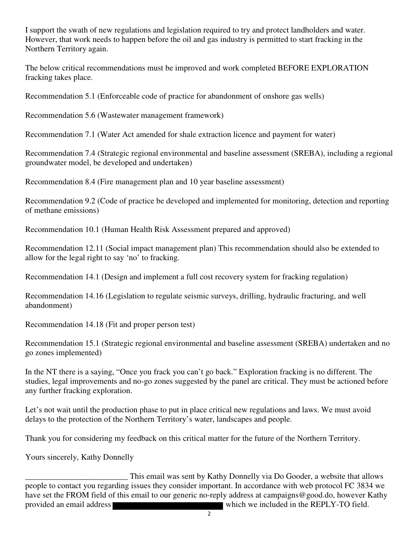I support the swath of new regulations and legislation required to try and protect landholders and water. However, that work needs to happen before the oil and gas industry is permitted to start fracking in the Northern Territory again.

The below critical recommendations must be improved and work completed BEFORE EXPLORATION fracking takes place.

Recommendation 5.1 (Enforceable code of practice for abandonment of onshore gas wells)

Recommendation 5.6 (Wastewater management framework)

Recommendation 7.1 (Water Act amended for shale extraction licence and payment for water)

Recommendation 7.4 (Strategic regional environmental and baseline assessment (SREBA), including a regional groundwater model, be developed and undertaken)

Recommendation 8.4 (Fire management plan and 10 year baseline assessment)

Recommendation 9.2 (Code of practice be developed and implemented for monitoring, detection and reporting of methane emissions)

Recommendation 10.1 (Human Health Risk Assessment prepared and approved)

Recommendation 12.11 (Social impact management plan) This recommendation should also be extended to allow for the legal right to say 'no' to fracking.

Recommendation 14.1 (Design and implement a full cost recovery system for fracking regulation)

Recommendation 14.16 (Legislation to regulate seismic surveys, drilling, hydraulic fracturing, and well abandonment)

Recommendation 14.18 (Fit and proper person test)

Recommendation 15.1 (Strategic regional environmental and baseline assessment (SREBA) undertaken and no go zones implemented)

In the NT there is a saying, "Once you frack you can't go back." Exploration fracking is no different. The studies, legal improvements and no-go zones suggested by the panel are critical. They must be actioned before any further fracking exploration.

Let's not wait until the production phase to put in place critical new regulations and laws. We must avoid delays to the protection of the Northern Territory's water, landscapes and people.

Thank you for considering my feedback on this critical matter for the future of the Northern Territory.

Yours sincerely, Kathy Donnelly

This email was sent by Kathy Donnelly via Do Gooder, a website that allows<br>people to contact you regarding issues they consider important. In accordance with web protocol FC 3834 we have set the FROM field of this email to our generic no-reply address at campaigns@good.do, however Kathy provided an email address which we included in the REPLY-TO field.